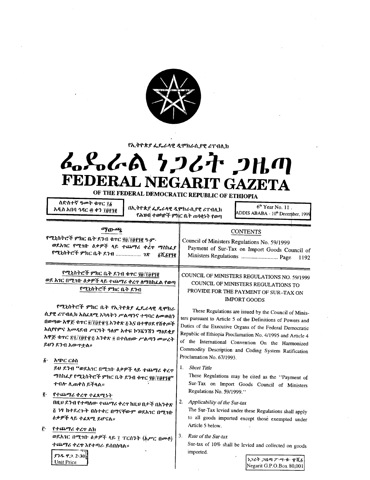

የኢትዮጵያ ፌዴራላዊ ዲሞክራሲያዊ ሪፐብሊክ

# んぺんめ フンムヤ フルの FEDERAL NEGARIT GAZETA

OF THE FEDERAL DEMOCRATIC REPUBLIC OF ETHIOPIA

ስድስተኛ ዓመት ቁዋር 78 አዲስ አበባ ኅዳር ፴ ቀን ፲፬፻፺፪

በኢትዮጵያ ፌዴራላዊ ዲሞክራሲያዊ ሪፐብሊክ የሕዝብ ተወካዮች ምክር ቤት ጠባቂነት የወጣ

 $6<sup>th</sup>$  Year No. 11. ADDIS ABABA - 10<sup>th</sup> December, 1999

1192

## ማውጫ

የሚኒስትሮች ምክር ቤት ደንብ ቁተር ያ፱/፲፱፻፺፪ ዓ-ም ወደአገር የሚገቡ ዕቃዎች ላይ ተጨማሪ ቀረዋ ማስከፈያ የሚኒስትሮች ምክር ቤት ደንብ ................. *ገጽ ST SPTE* 

# የሚኒስትሮች ምክር ቤት ደንብ ቁተር ያፀ/፲፱፻፺፪ ወደ አገር በሚገቡ ዕቃዎች ላይ ተጨማሪ ቀረዋ ለማስከፈል የወጣ የሚኒስትሮች ምክር ቤት ደንብ

የሚኒስትሮች ምክር ቤት የኢትዮጵያ ፌዴራላዊ ዲሞክራ ሲያዊ ሪፐብሊክ አስፈጻሚ አካላትን ሥልጣንና ተግባር ለመወሰን በወጣው አዋጅ ቁተር ፬/፲፬፻፹፯ አንቀጽ ፩ እና በተዋሀደ የሸቀጦች አሲየየምና *አመጻ*ደብ ሥርዓት ዓለም አቀፍ ኮንቪንሽን ማዕደቂያ አዋጅ ቁዋር ፳፺/፲፬፻፹፩ አንቀጽ ፬ በተሰጠው ሥልጣን መሠረት ይህን ደንብ አውጥቷል።

፩ አጭር ርዕስ ይህ ደንብ "ወደአገር በሚገቡ ዕቃዎች ላይ ተጨማሪ ቀረዋ *ግ*ስከፌደ የሚኒስትሮች ምክር ቤት ደንብ ቁተር ያፀ/፲ፀ፻፺፪" ተብሎ ሊጠቀስ ይችላል።

#### ĝ. የተጨማሪ ቀረዋ ተፈጸሚነት

 $93892230$ 

**Unit Price** 

በዚህ ደንብ የተጣለው ተጨማሪ ቀረጥ ከዚህ በታች በአንቀጽ <u>፭ ነፃ ከተደረጉት በስተቀር በማናቸውም ወደአገር በሚገቡ</u> *ዕቃዎች* ላይ ተፈጸሚ ይሆናል።

ŕ٠ የተጨማሪ ቀረ**ዋ** ልክ ወደአገር በሚገቡ ዕቃዎች ላይ ፲ ፐርሰንት (አሥር በመቶ) ተጨማሪ ቀረዋ እየተጣራ ይሰበስባል።

COUNCIL OF MINISTERS REGULATIONS NO. 59/1999 COUNCIL OF MINISTERS REGULATIONS TO PROVIDE FOR THE PAYMENT OF SUR-TAX ON **IMPORT GOODS** 

**CONTENTS** 

Payment of Sur-Tax on Import Goods Council of

Council of Ministers Regulations No. 59/1999

Ministers Regulations ................................ Page

These Regulations are issued by the Council of Ministers pursuant to Article 5 of the Definitions of Powers and Duties of the Executive Organs of the Federal Democratic Republic of Ethiopia Proclamation No. 4/1995 and Article 4 of the International Convention On the Harmonized Commodity Description and Coding System Ratification Proclamation No. 67/1993.

## 1. Short Title

These Regulations may be cited as the "Payment of Sur-Tax on Import Goods Council of Ministers Regulations No. 59/1999."

#### $2 -$ Applicability of the Sur-tax

The Sur-Tax levied under these Regulations shall apply to all goods imported except those exempted under Article 5 below.

Rate of the Sur-tax  $3.$ 

> Sur-tax of 10% shall be levied and collected on goods imported.